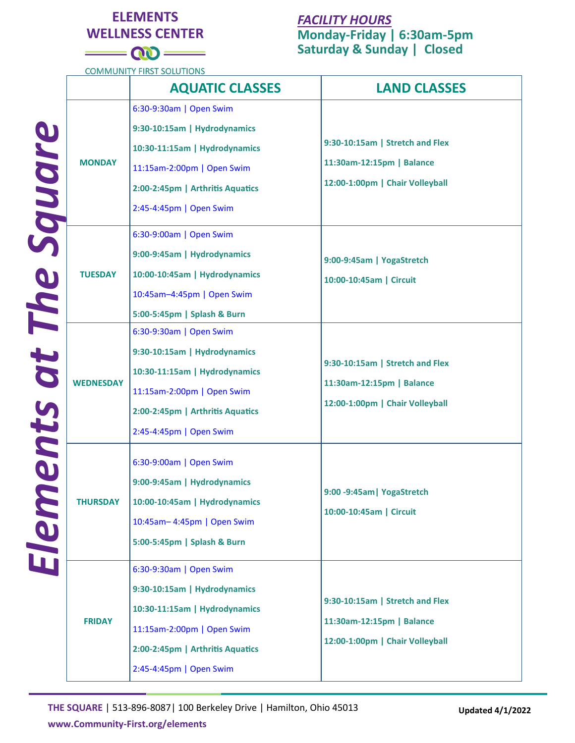## **ELEMENTS WELLNESS CENTER**

## *FACILITY HOURS*

**Monday-Friday | 6:30am-5pm Saturday & Sunday | Closed**

**COMMUNITY FIRST SOLUTIONS** 

<u> a se</u>

 $= 00$ 

|                        |                  | <b>AQUATIC CLASSES</b>                                                                                                                                                                | <b>LAND CLASSES</b>                                                                             |
|------------------------|------------------|---------------------------------------------------------------------------------------------------------------------------------------------------------------------------------------|-------------------------------------------------------------------------------------------------|
| Elements at The Square | <b>MONDAY</b>    | 6:30-9:30am   Open Swim<br>9:30-10:15am   Hydrodynamics<br>10:30-11:15am   Hydrodynamics<br>11:15am-2:00pm   Open Swim<br>2:00-2:45pm   Arthritis Aquatics<br>2:45-4:45pm   Open Swim | 9:30-10:15am   Stretch and Flex<br>11:30am-12:15pm   Balance<br>12:00-1:00pm   Chair Volleyball |
|                        | <b>TUESDAY</b>   | 6:30-9:00am   Open Swim<br>9:00-9:45am   Hydrodynamics<br>10:00-10:45am   Hydrodynamics<br>10:45am-4:45pm   Open Swim<br>5:00-5:45pm   Splash & Burn                                  | 9:00-9:45am   YogaStretch<br>10:00-10:45am   Circuit                                            |
|                        | <b>WEDNESDAY</b> | 6:30-9:30am   Open Swim<br>9:30-10:15am   Hydrodynamics<br>10:30-11:15am   Hydrodynamics<br>11:15am-2:00pm   Open Swim<br>2:00-2:45pm   Arthritis Aquatics<br>2:45-4:45pm   Open Swim | 9:30-10:15am   Stretch and Flex<br>11:30am-12:15pm   Balance<br>12:00-1:00pm   Chair Volleyball |
|                        | <b>THURSDAY</b>  | 6:30-9:00am   Open Swim<br>9:00-9:45am   Hydrodynamics<br>10:00-10:45am   Hydrodynamics<br>10:45am-4:45pm   Open Swim<br>5:00-5:45pm   Splash & Burn                                  | 9:00 -9:45am   YogaStretch<br>10:00-10:45am   Circuit                                           |
|                        | <b>FRIDAY</b>    | 6:30-9:30am   Open Swim<br>9:30-10:15am   Hydrodynamics<br>10:30-11:15am   Hydrodynamics<br>11:15am-2:00pm   Open Swim<br>2:00-2:45pm   Arthritis Aquatics<br>2:45-4:45pm   Open Swim | 9:30-10:15am   Stretch and Flex<br>11:30am-12:15pm   Balance<br>12:00-1:00pm   Chair Volleyball |